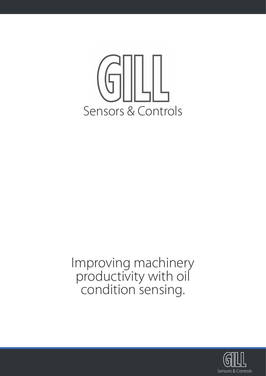

# Improving machinery productivity with oil condition sensing.

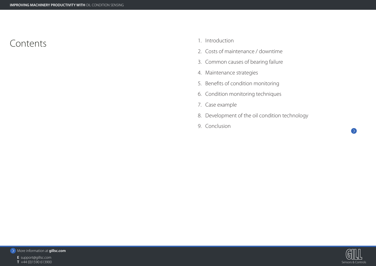

**E** support@gillsc.com

- 
- 



- 1. Introduction
- 2. Costs of maintenance / downtime
- 3. Common causes of bearing failure
- 4. Maintenance strategies
- 5. Benefits of condition monitoring
- 6. Condition monitoring techniques
- 7. Case example
- 8. Development of the oil condition technology
- 9. Conclusion

# Contents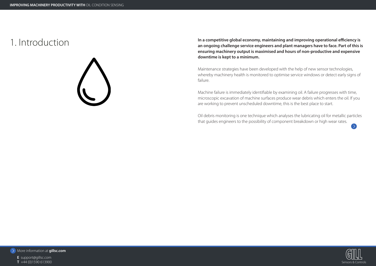# **THE CONDITION STARS AND THE CONDITION SENSING READ FOR DISPONSIVE PRODUCTIVITY WITH OIL CONDITION SENSING**<br> **T** +444 (0)) 1590 61 (3500)<br> **T** +44 (0)) 1590 61 (3500)



More information at **gillsc.com**

**E** support@gillsc.com

# In a competitive global economy, maintaining and improving operational efficiency is<br>an ongoing challenge service engineers and plant managers have to face. Part of this is



**ensuring machinery output is maximised and hours of non-productive and expensive downtime is kept to a minimum.**

Maintenance strategies have been developed with the help of new sensor technologies, whereby machinery health is monitored to optimise service windows or detect early signs of failure.

Machine failure is immediately identifiable by examining oil. A failure progresses with time, microscopic excavation of machine surfaces produce wear debris which enters the oil. If you are working to prevent unscheduled downtime, this is the best place to start.

Oil debris monitoring is one technique which analyses the lubricating oil for metallic particles that guides engineers to the possibility of component breakdown or high wear rates.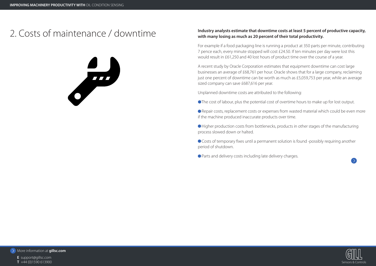

**E** support@gillsc.com





# 2. Costs of maintenance / downtime **Industry analysts estimate that downtime costs at least 5 percent of productive capacity, with many losing as much as 20 percent of their total productivity.**

For example if a food packaging line is running a product at 350 parts per minute, contributing 7 pence each, every minute stopped will cost £24.50. If ten minutes per day were lost this would result in £61,250 and 40 lost hours of product time over the course of a year.

A recent study by Oracle Corporation estimates that equipment downtime can cost large businesses an average of £68,761 per hour. Oracle shows that for a large company, reclaiming just one percent of downtime can be worth as much as £5,059,753 per year, while an average sized company can save £687,616 per year.

Unplanned downtime costs are attributed to the following:

The cost of labour, plus the potential cost of overtime hours to make up for lost output.

 Repair costs, replacement costs or expenses from wasted material which could be even more if the machine produced inaccurate products over time.

 Higher production costs from bottlenecks, products in other stages of the manufacturing process slowed down or halted.

 Costs of temporary fixes until a permanent solution is found -possibly requiring another period of shutdown.

Parts and delivery costs including late delivery charges.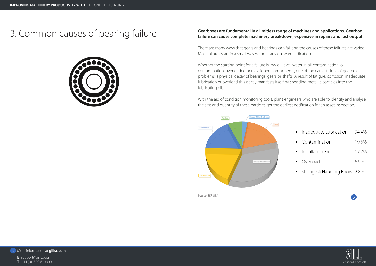

**E** support@gillsc.com

| Inadequate Lubrication         | 34.4% |
|--------------------------------|-------|
| Contamination                  | 19.6% |
| Installation Errors            | 17.7% |
| • Overload                     | 6.9%  |
| Storage & Handling Errors 2.8% |       |





# 3. Common causes of bearing failure<br> **Gearboxes are fundamental in a limitless range of machines and applications. Gearbox** *Searbox**Searbox**searbox**searbox**searbox**searbox**searbox**searbox <b>searbox searbox* **failure can cause complete machinery breakdown, expensive in repairs and lost output.**

There are many ways that gears and bearings can fail and the causes of these failures are varied. Most failures start in a small way without any outward indication.

Whether the starting point for a failure is low oil level, water in oil contamination, oil contamination, overloaded or misaligned components, one of the earliest signs of gearbox problems is physical decay of bearings, gears or shafts. A result of fatigue, corrosion, inadequate lubrication or overload this decay manifests itself by shedding metallic particles into the lubricating oil.

With the aid of condition monitoring tools, plant engineers who are able to identify and analyse the size and quantity of these particles get the earliest notification for an asset inspection.



Source: SKF USA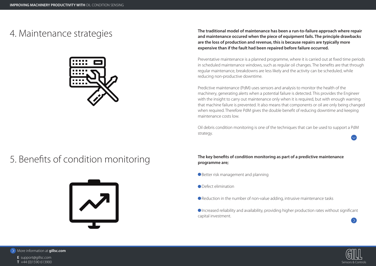

- **E** support@gillsc.com
- 
- 







# 4. Maintenance strategies **The traditional model of maintenance has been a run-to-failure approach where repair**

**and maintenance occured when the piece of equipment fails. The principle drawbacks are the loss of production and revenue, this is because repairs are typically more expensive than if the fault had been repaired before failure occurred.**

Preventative maintenance is a planned programme, where it is carried out at fixed time periods in scheduled maintenance windows, such as regular oil changes. The benefits are that through regular maintenance, breakdowns are less likely and the activity can be scheduled, while reducing non-productive downtime.

- Better risk management and planning
- **O** Defect elimination
- Reduction in the number of non-value adding, intrusive maintenance tasks

Predictive maintenance (PdM) uses sensors and analysis to monitor the health of the machinery, generating alerts when a potential failure is detected. This provides the Engineer with the insight to carry out maintenance only when it is required, but with enough warning that machine failure is prevented. It also means that components or oil are only being changed when required. Therefore PdM gives the double benefit of reducing downtime and keeping maintenance costs low.

Oil debris condition monitoring is one of the techniques that can be used to support a PdM strategy.

# **The key benefits of condition monitoring as part of a predictive maintenance programme are;**

 Increased reliability and availability, providing higher production rates without significant capital investment.

# 5. Benefits of condition monitoring

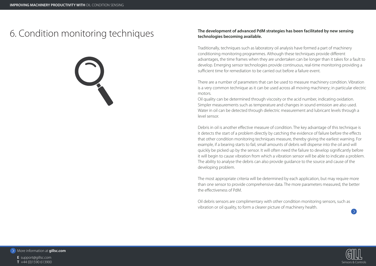

**E** support@gillsc.com

- 
- 



# 6. Condition monitoring techniques **The development of advanced PdM strategies has been facilitated by new sensing technologies becoming available.**

Traditionally, techniques such as laboratory oil analysis have formed a part of machinery conditioning monitoring programmes. Although these techniques provide different advantages, the time frames when they are undertaken can be longer than it takes for a fault to develop. Emerging sensor technologies provide continuous, real-time monitoring providing a sufficient time for remediation to be carried out before a failure event.

There are a number of parameters that can be used to measure machinery condition. Vibration is a very common technique as it can be used across all moving machinery; in particular electric motors.

Oil quality can be determined through viscosity or the acid number, indicating oxidation. Simpler measurements such as temperature and changes in sound emission are also used. Water in oil can be detected through dielectric measurement and lubricant levels through a level sensor.

Debris in oil is another effective measure of condition. The key advantage of this technique is it detects the start of a problem directly by catching the evidence of failure before the effects that other condition monitoring techniques measure, thereby giving the earliest warning. For example, if a bearing starts to fail, small amounts of debris will disperse into the oil and will quickly be picked up by the sensor. It will often need the failure to develop significantly before it will begin to cause vibration from which a vibration sensor will be able to indicate a problem. The ability to analyse the debris can also provide guidance to the source and cause of the developing problem.

The most appropriate criteria will be determined by each application, but may require more than one sensor to provide comprehensive data. The more parameters measured, the better the effectiveness of PdM.

Oil debris sensors are complimentary with other condition monitoring sensors, such as vibration or oil quality, to form a clearer picture of machinery health.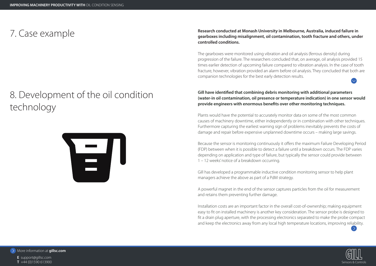

- **E** support@gillsc.com
- 
- 



# 7. Case example **Research conducted at Monash University in Melbourne, Australia, induced failure in gearboxes including misalignment, oil contamination, tooth fracture and others, under controlled conditions.**

The gearboxes were monitored using vibration and oil analysis (ferrous density) during progression of the failure. The researchers concluded that, on average, oil analysis provided 15 times earlier detection of upcoming failure compared to vibration analysis. In the case of tooth fracture, however, vibration provided an alarm before oil analysis. They concluded that both are companion technologies for the best early detection results.

# **Gill have identified that combining debris monitoring with additional parameters (water-in oil contamination, oil presence or temperature indication) in one sensor would provide engineers with enormous benefits over other monitoring techniques.**

Plants would have the potential to accurately monitor data on some of the most common causes of machinery downtime, either independently or in combination with other techniques. Furthermore capturing the earliest warning sign of problems inevitably prevents the costs of damage and repair before expensive unplanned downtime occurs – making large savings.

Because the sensor is monitoring continuously it offers the maximum Failure Developing Period (FDP) between when it is possible to detect a failure until a breakdown occurs. The FDP varies depending on application and type of failure, but typically the sensor could provide between 1 – 12 weeks' notice of a breakdown occurring.

Gill has developed a programmable inductive condition monitoring sensor to help plant managers achieve the above as part of a PdM strategy.

A powerful magnet in the end of the sensor captures particles from the oil for measurement and retains them preventing further damage.

Installation costs are an important factor in the overall cost-of-ownership; making equipment easy to fit on installed machinery is another key consideration. The sensor probe is designed to fit a drain plug aperture, with the processing electronics separated to make the probe compact and keep the electronics away from any local high temperature locations, improving reliability.

# 8. Development of the oil condition technology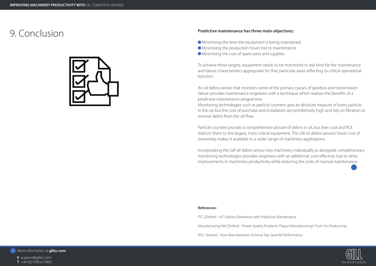

**E** support@gillsc.com



# 9. Conclusion **Predictive maintenance has three main objectives;**

Minimising the time the equipment is being maintained

- Minimising the production hours lost to maintenance
- Minimising the cost of spare parts and supplies

To achieve these targets, equipment needs to be monitored in real time for the maintenance and failure characteristics appropriate for that particular asset reflecting its critical operational function.

An oil debris sensor that monitors some of the primary causes of gearbox and transmission failure provides maintenance engineers with a technique which realises the benefits of a predictive maintenance programme. Monitoring technologies such as particle counters give an absolute measure of every particle in the oil, but the cost of purchase and installation are prohibitively high and rely on filtration to remove debris from the oil flow.

Particle counters provide a comprehensive picture of debris in oil, but their cost and ROI restricts them to the largest, most critical equipment. The Gill oil debris sensors' lower cost of ownership makes it available to a wider range of machinery applications.

Incorporating the Gill oil debris sensor into machinery individually or alongside complimentary monitoring technologies provides engineers with an additional, cost-effective, tool to drive improvements in machinery productivity while reducing the costs of manual maintenance.

### **References:**

PTC [Online] - IoT Slashes Downtime with Predictive Maintenance Manufacturing Net [Online] - Power Quality Problems Plague Manufacturing's Push For Productivity WSJ -[online] - How Manufacturers Achieve Top Quartile Performance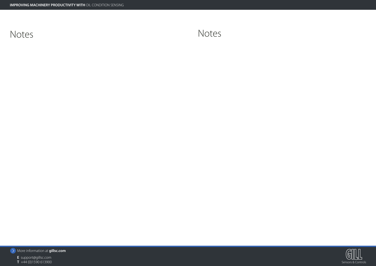

**E** support@gillsc.com<br>**T** +44 (0)1590 613900